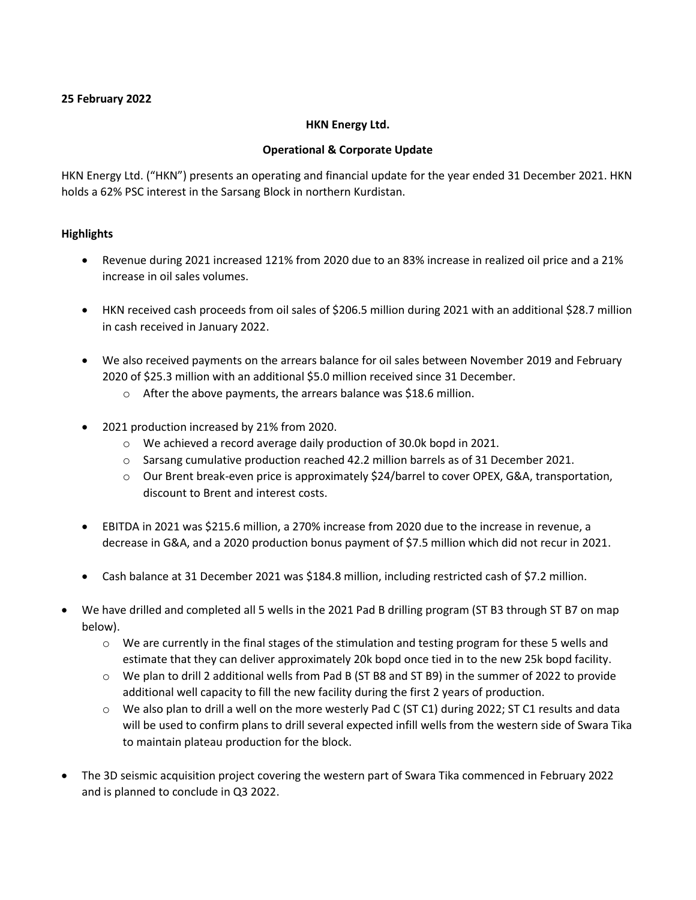### **25 February 2022**

#### **HKN Energy Ltd.**

#### **Operational & Corporate Update**

HKN Energy Ltd. ("HKN") presents an operating and financial update for the year ended 31 December 2021. HKN holds a 62% PSC interest in the Sarsang Block in northern Kurdistan.

### **Highlights**

- Revenue during 2021 increased 121% from 2020 due to an 83% increase in realized oil price and a 21% increase in oil sales volumes.
- HKN received cash proceeds from oil sales of \$206.5 million during 2021 with an additional \$28.7 million in cash received in January 2022.
- We also received payments on the arrears balance for oil sales between November 2019 and February 2020 of \$25.3 million with an additional \$5.0 million received since 31 December.
	- o After the above payments, the arrears balance was \$18.6 million.
- 2021 production increased by 21% from 2020.
	- o We achieved a record average daily production of 30.0k bopd in 2021.
	- o Sarsang cumulative production reached 42.2 million barrels as of 31 December 2021.
	- o Our Brent break-even price is approximately \$24/barrel to cover OPEX, G&A, transportation, discount to Brent and interest costs.
- EBITDA in 2021 was \$215.6 million, a 270% increase from 2020 due to the increase in revenue, a decrease in G&A, and a 2020 production bonus payment of \$7.5 million which did not recur in 2021.
- Cash balance at 31 December 2021 was \$184.8 million, including restricted cash of \$7.2 million.
- We have drilled and completed all 5 wells in the 2021 Pad B drilling program (ST B3 through ST B7 on map below).
	- $\circ$  We are currently in the final stages of the stimulation and testing program for these 5 wells and estimate that they can deliver approximately 20k bopd once tied in to the new 25k bopd facility.
	- $\circ$  We plan to drill 2 additional wells from Pad B (ST B8 and ST B9) in the summer of 2022 to provide additional well capacity to fill the new facility during the first 2 years of production.
	- $\circ$  We also plan to drill a well on the more westerly Pad C (ST C1) during 2022; ST C1 results and data will be used to confirm plans to drill several expected infill wells from the western side of Swara Tika to maintain plateau production for the block.
- The 3D seismic acquisition project covering the western part of Swara Tika commenced in February 2022 and is planned to conclude in Q3 2022.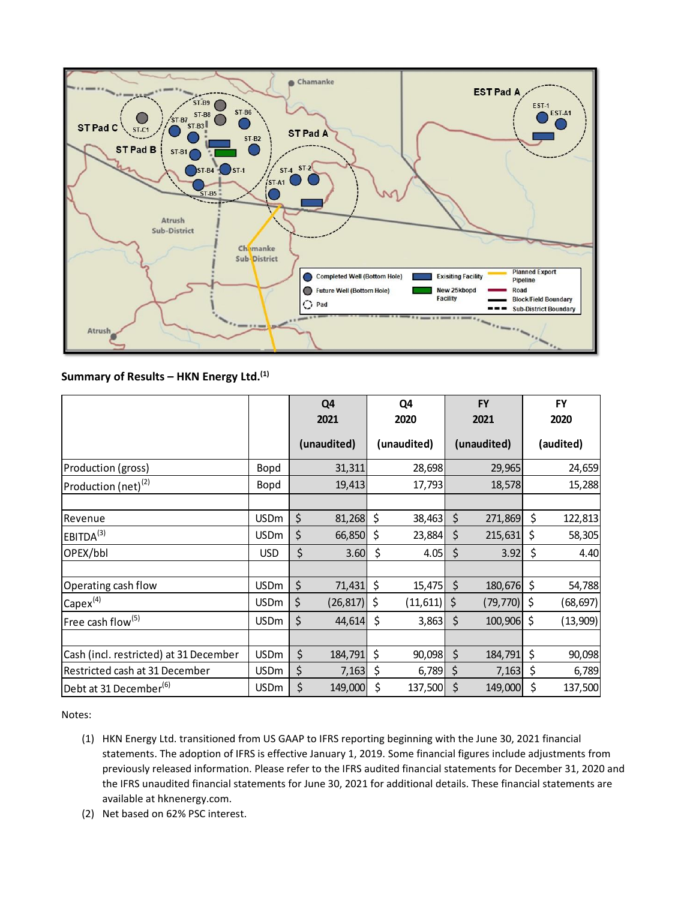

### **Summary of Results – HKN Energy Ltd. (1)**

|                                        |             | Q <sub>4</sub>  |         | Q4          |         | <b>FY</b>   |    | <b>FY</b> |
|----------------------------------------|-------------|-----------------|---------|-------------|---------|-------------|----|-----------|
|                                        |             | 2021            |         | 2020        |         | 2021        |    | 2020      |
|                                        |             | (unaudited)     |         | (unaudited) |         | (unaudited) |    | (audited) |
| Production (gross)                     | Bopd        | 31,311          |         | 28,698      |         | 29,965      |    | 24,659    |
| Production (net) $^{(2)}$              | Bopd        | 19,413          |         | 17,793      |         | 18,578      |    | 15,288    |
|                                        |             |                 |         |             |         |             |    |           |
| Revenue                                | <b>USDm</b> | \$<br>81,268    | \$      | 38,463      | $\zeta$ | 271,869     | \$ | 122,813   |
| EBITDA <sup>(3)</sup>                  | <b>USDm</b> | \$<br>66,850    | \$      | 23,884      | \$      | 215,631     | \$ | 58,305    |
| OPEX/bbl                               | <b>USD</b>  | \$<br>3.60      | \$      | 4.05        | \$      | 3.92        | \$ | 4.40      |
|                                        |             |                 |         |             |         |             |    |           |
| Operating cash flow                    | <b>USDm</b> | \$<br>71,431    | $\zeta$ | 15,475      | $\zeta$ | 180,676     | \$ | 54,788    |
| $Capex^{(4)}$                          | <b>USDm</b> | \$<br>(26, 817) | \$      | (11, 611)   | \$      | (79, 770)   | Ś  | (68, 697) |
| Free cash flow <sup>(5)</sup>          | <b>USDm</b> | \$<br>44,614    | $\zeta$ | 3,863       | $\zeta$ | 100,906     | \$ | (13,909)  |
|                                        |             |                 |         |             |         |             |    |           |
| Cash (incl. restricted) at 31 December | <b>USDm</b> | \$<br>184,791   | \$      | 90,098      | $\zeta$ | 184,791     | \$ | 90,098    |
| Restricted cash at 31 December         | <b>USDm</b> | \$<br>7,163     | \$      | 6,789       | \$      | 7,163       | \$ | 6,789     |
| Debt at 31 December <sup>(6)</sup>     | <b>USDm</b> | \$<br>149,000   | \$      | 137,500     | \$      | 149,000     | \$ | 137,500   |

Notes:

- (1) HKN Energy Ltd. transitioned from US GAAP to IFRS reporting beginning with the June 30, 2021 financial statements. The adoption of IFRS is effective January 1, 2019. Some financial figures include adjustments from previously released information. Please refer to the IFRS audited financial statements for December 31, 2020 and the IFRS unaudited financial statements for June 30, 2021 for additional details. These financial statements are available at hknenergy.com.
- (2) Net based on 62% PSC interest.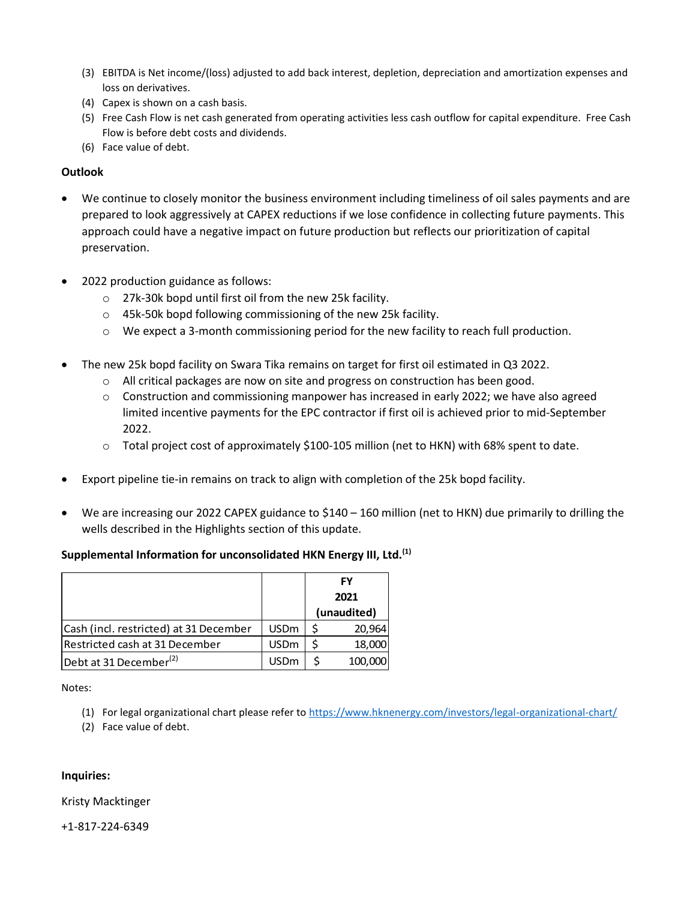- (3) EBITDA is Net income/(loss) adjusted to add back interest, depletion, depreciation and amortization expenses and loss on derivatives.
- (4) Capex is shown on a cash basis.
- (5) Free Cash Flow is net cash generated from operating activities less cash outflow for capital expenditure. Free Cash Flow is before debt costs and dividends.
- (6) Face value of debt.

### **Outlook**

- We continue to closely monitor the business environment including timeliness of oil sales payments and are prepared to look aggressively at CAPEX reductions if we lose confidence in collecting future payments. This approach could have a negative impact on future production but reflects our prioritization of capital preservation.
- 2022 production guidance as follows:
	- o 27k-30k bopd until first oil from the new 25k facility.
	- o 45k-50k bopd following commissioning of the new 25k facility.
	- o We expect a 3-month commissioning period for the new facility to reach full production.
- The new 25k bopd facility on Swara Tika remains on target for first oil estimated in Q3 2022.
	- $\circ$  All critical packages are now on site and progress on construction has been good.
	- o Construction and commissioning manpower has increased in early 2022; we have also agreed limited incentive payments for the EPC contractor if first oil is achieved prior to mid-September 2022.
	- o Total project cost of approximately \$100-105 million (net to HKN) with 68% spent to date.
- Export pipeline tie-in remains on track to align with completion of the 25k bopd facility.
- We are increasing our 2022 CAPEX guidance to \$140 160 million (net to HKN) due primarily to drilling the wells described in the Highlights section of this update.

### **Supplemental Information for unconsolidated HKN Energy III, Ltd.(1)**

|                                        |             | FY<br>2021  |         |  |
|----------------------------------------|-------------|-------------|---------|--|
|                                        |             |             |         |  |
|                                        |             | (unaudited) |         |  |
| Cash (incl. restricted) at 31 December | <b>USDm</b> |             | 20,964  |  |
| Restricted cash at 31 December         | <b>USDm</b> |             | 18,000  |  |
| Debt at 31 December <sup>(2)</sup>     | <b>USDm</b> |             | 100,000 |  |

Notes:

- (1) For legal organizational chart please refer to<https://www.hknenergy.com/investors/legal-organizational-chart/>
- (2) Face value of debt.

#### **Inquiries:**

#### Kristy Macktinger

+1-817-224-6349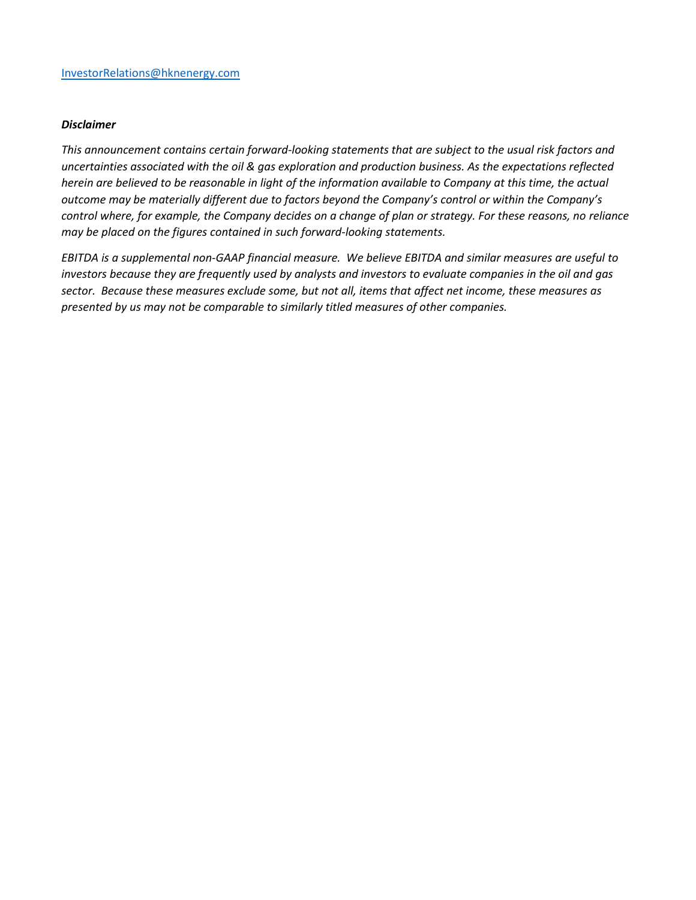#### *Disclaimer*

*This announcement contains certain forward-looking statements that are subject to the usual risk factors and uncertainties associated with the oil & gas exploration and production business. As the expectations reflected herein are believed to be reasonable in light of the information available to Company at this time, the actual outcome may be materially different due to factors beyond the Company's control or within the Company's control where, for example, the Company decides on a change of plan or strategy. For these reasons, no reliance may be placed on the figures contained in such forward-looking statements.*

*EBITDA is a supplemental non-GAAP financial measure. We believe EBITDA and similar measures are useful to investors because they are frequently used by analysts and investors to evaluate companies in the oil and gas sector. Because these measures exclude some, but not all, items that affect net income, these measures as presented by us may not be comparable to similarly titled measures of other companies.*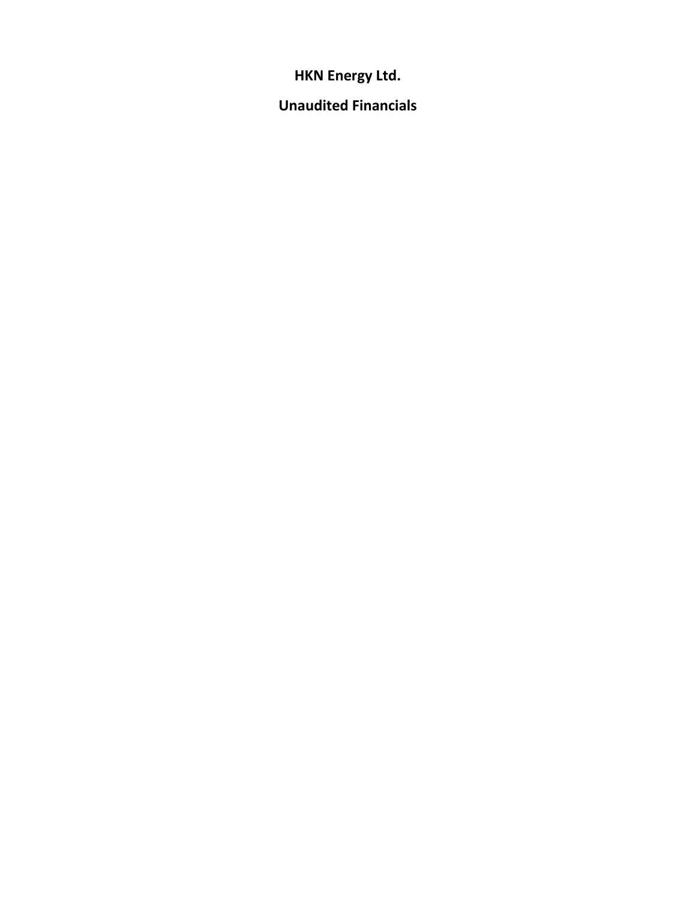**HKN Energy Ltd.** 

**Unaudited Financials**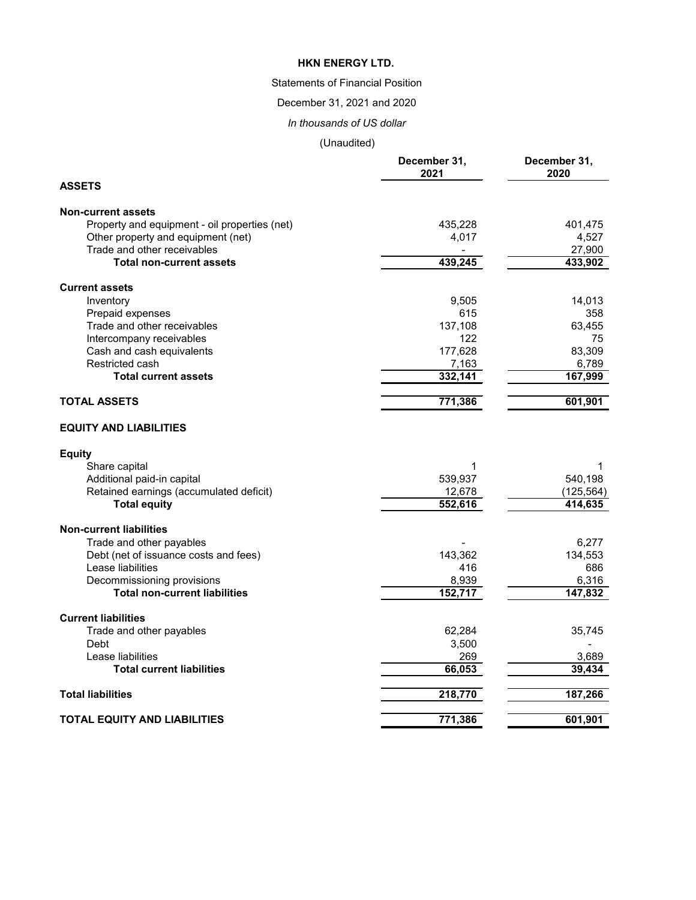## Statements of Financial Position

December 31, 2021 and 2020

*In thousands of US dollar*

|                                               | December 31,<br>2021 | December 31,<br>2020 |
|-----------------------------------------------|----------------------|----------------------|
| <b>ASSETS</b>                                 |                      |                      |
| <b>Non-current assets</b>                     |                      |                      |
| Property and equipment - oil properties (net) | 435,228              | 401,475              |
| Other property and equipment (net)            | 4,017                | 4,527                |
| Trade and other receivables                   |                      | 27,900               |
| <b>Total non-current assets</b>               | 439,245              | 433,902              |
| <b>Current assets</b>                         |                      |                      |
| Inventory                                     | 9,505                | 14,013               |
| Prepaid expenses                              | 615                  | 358                  |
| Trade and other receivables                   | 137,108              | 63,455               |
| Intercompany receivables                      | 122                  | 75                   |
| Cash and cash equivalents                     | 177,628              | 83,309               |
| Restricted cash                               | 7,163                | 6,789                |
| <b>Total current assets</b>                   | 332,141              | 167,999              |
| <b>TOTAL ASSETS</b>                           | 771,386              | 601,901              |
| <b>EQUITY AND LIABILITIES</b>                 |                      |                      |
| <b>Equity</b>                                 |                      |                      |
| Share capital                                 | 1                    | 1                    |
| Additional paid-in capital                    | 539,937              | 540,198              |
| Retained earnings (accumulated deficit)       | 12,678               | (125, 564)           |
| <b>Total equity</b>                           | 552,616              | 414,635              |
| <b>Non-current liabilities</b>                |                      |                      |
| Trade and other payables                      |                      | 6,277                |
| Debt (net of issuance costs and fees)         | 143,362              | 134,553              |
| Lease liabilities                             | 416                  | 686                  |
| Decommissioning provisions                    | 8,939                | 6,316                |
| <b>Total non-current liabilities</b>          | 152,717              | 147,832              |
| <b>Current liabilities</b>                    |                      |                      |
| Trade and other payables                      | 62,284               | 35,745               |
| Debt                                          | 3,500                |                      |
| Lease liabilities                             | 269                  | 3,689                |
| <b>Total current liabilities</b>              | 66,053               | 39,434               |
| <b>Total liabilities</b>                      | 218,770              | 187,266              |
| <b>TOTAL EQUITY AND LIABILITIES</b>           | 771,386              | 601,901              |
|                                               |                      |                      |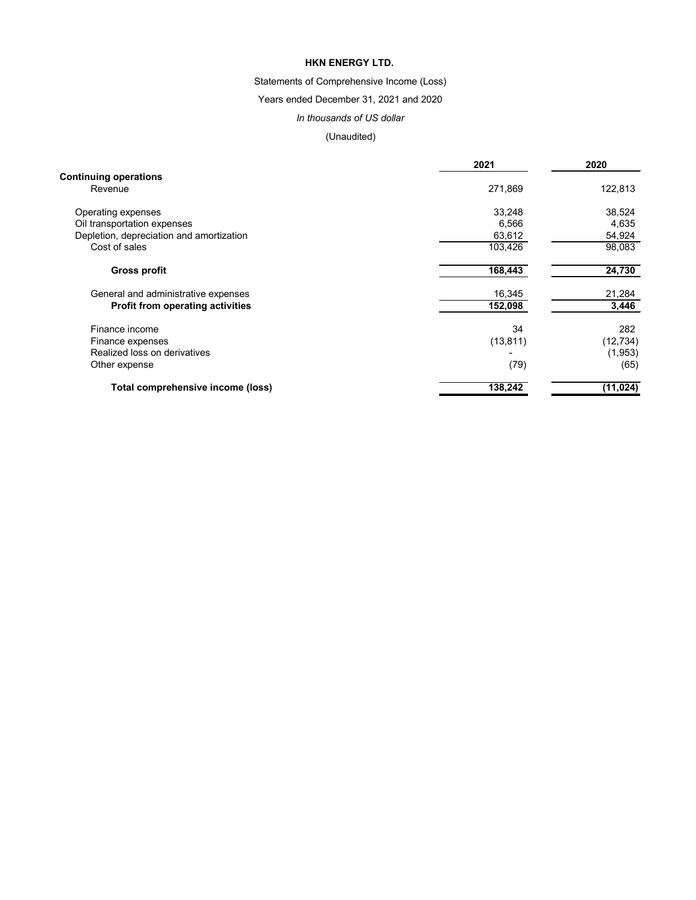# Statements of Comprehensive Income (Loss)

Years ended December 31, 2021 and 2020

### *In thousands of US dollar*

|                                          | 2021      | 2020      |  |
|------------------------------------------|-----------|-----------|--|
| <b>Continuing operations</b>             |           |           |  |
| Revenue                                  | 271,869   | 122,813   |  |
| Operating expenses                       | 33,248    | 38,524    |  |
| Oil transportation expenses              | 6,566     | 4,635     |  |
| Depletion, depreciation and amortization | 63,612    | 54,924    |  |
| Cost of sales                            | 103,426   | 98,083    |  |
| <b>Gross profit</b>                      | 168,443   | 24,730    |  |
| General and administrative expenses      | 16,345    | 21,284    |  |
| <b>Profit from operating activities</b>  | 152,098   | 3,446     |  |
| Finance income                           | 34        | 282       |  |
| Finance expenses                         | (13, 811) | (12, 734) |  |
| Realized loss on derivatives             |           | (1,953)   |  |
| Other expense                            | (79)      | (65)      |  |
| Total comprehensive income (loss)        | 138,242   | (11, 024) |  |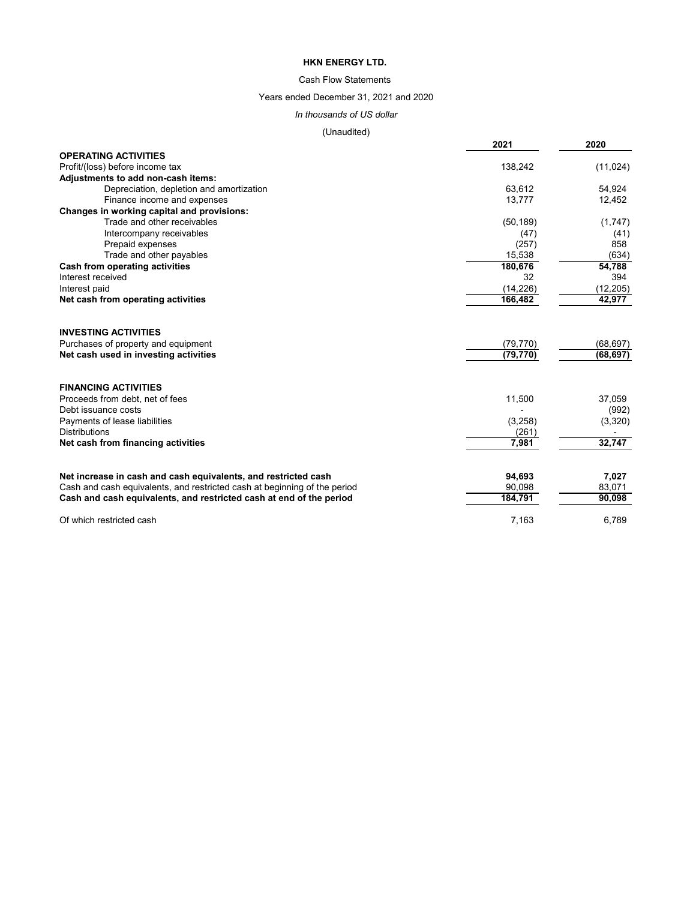### Cash Flow Statements

### Years ended December 31, 2021 and 2020

# *In thousands of US dollar*

|                                                                           | 2021      | 2020      |
|---------------------------------------------------------------------------|-----------|-----------|
| <b>OPERATING ACTIVITIES</b>                                               |           |           |
| Profit/(loss) before income tax                                           | 138,242   | (11, 024) |
| Adjustments to add non-cash items:                                        |           |           |
| Depreciation, depletion and amortization                                  | 63,612    | 54,924    |
| Finance income and expenses                                               | 13,777    | 12,452    |
| <b>Changes in working capital and provisions:</b>                         |           |           |
| Trade and other receivables                                               | (50, 189) | (1,747)   |
| Intercompany receivables                                                  | (47)      | (41)      |
| Prepaid expenses                                                          | (257)     | 858       |
| Trade and other payables                                                  | 15,538    | (634)     |
| <b>Cash from operating activities</b>                                     | 180,676   | 54,788    |
| Interest received                                                         | 32        | 394       |
| Interest paid                                                             | (14, 226) | (12, 205) |
| Net cash from operating activities                                        | 166,482   | 42,977    |
| <b>INVESTING ACTIVITIES</b>                                               |           |           |
| Purchases of property and equipment                                       | (79, 770) | (68, 697) |
| Net cash used in investing activities                                     | (79, 770) | (68, 697) |
| <b>FINANCING ACTIVITIES</b>                                               |           |           |
| Proceeds from debt, net of fees                                           | 11,500    | 37,059    |
| Debt issuance costs                                                       |           | (992)     |
| Payments of lease liabilities                                             | (3,258)   | (3,320)   |
| <b>Distributions</b>                                                      | (261)     |           |
| Net cash from financing activities                                        | 7,981     | 32,747    |
|                                                                           |           |           |
| Net increase in cash and cash equivalents, and restricted cash            | 94,693    | 7,027     |
| Cash and cash equivalents, and restricted cash at beginning of the period | 90,098    | 83,071    |
| Cash and cash equivalents, and restricted cash at end of the period       | 184,791   | 90,098    |
| Of which restricted cash                                                  | 7,163     | 6,789     |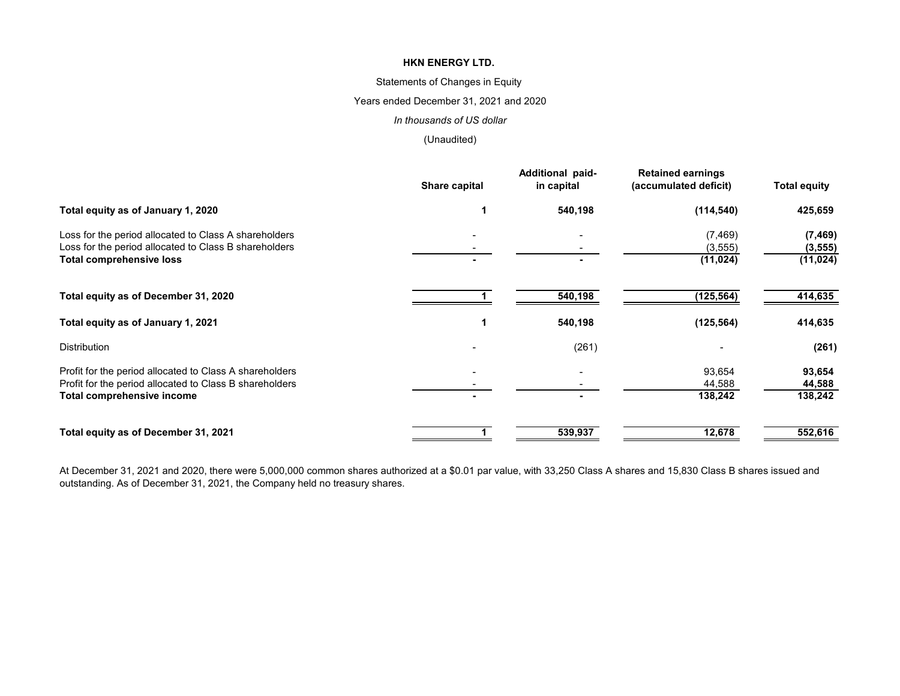### Statements of Changes in Equity

### Years ended December 31, 2021 and 2020

#### *In thousands of US dollar*

### (Unaudited)

|                                                                                                                | Share capital | Additional paid-<br>in capital | <b>Retained earnings</b><br>(accumulated deficit) | <b>Total equity</b>  |
|----------------------------------------------------------------------------------------------------------------|---------------|--------------------------------|---------------------------------------------------|----------------------|
| Total equity as of January 1, 2020                                                                             |               | 540,198                        | (114, 540)                                        | 425,659              |
| Loss for the period allocated to Class A shareholders<br>Loss for the period allocated to Class B shareholders |               |                                | (7, 469)<br>(3, 555)                              | (7, 469)<br>(3, 555) |
| <b>Total comprehensive loss</b>                                                                                |               |                                | (11, 024)                                         | (11, 024)            |
| Total equity as of December 31, 2020                                                                           |               | 540,198                        | (125, 564)                                        | 414,635              |
| Total equity as of January 1, 2021                                                                             |               | 540,198                        | (125, 564)                                        | 414,635              |
| <b>Distribution</b>                                                                                            |               | (261)                          |                                                   | (261)                |
| Profit for the period allocated to Class A shareholders                                                        |               |                                | 93,654                                            | 93,654               |
| Profit for the period allocated to Class B shareholders                                                        |               |                                | 44,588                                            | 44,588               |
| <b>Total comprehensive income</b>                                                                              |               |                                | 138,242                                           | 138,242              |
| Total equity as of December 31, 2021                                                                           |               | 539,937                        | 12,678                                            | 552,616              |

At December 31, 2021 and 2020, there were 5,000,000 common shares authorized at a \$0.01 par value, with 33,250 Class A shares and 15,830 Class B shares issued and outstanding. As of December 31, 2021, the Company held no treasury shares.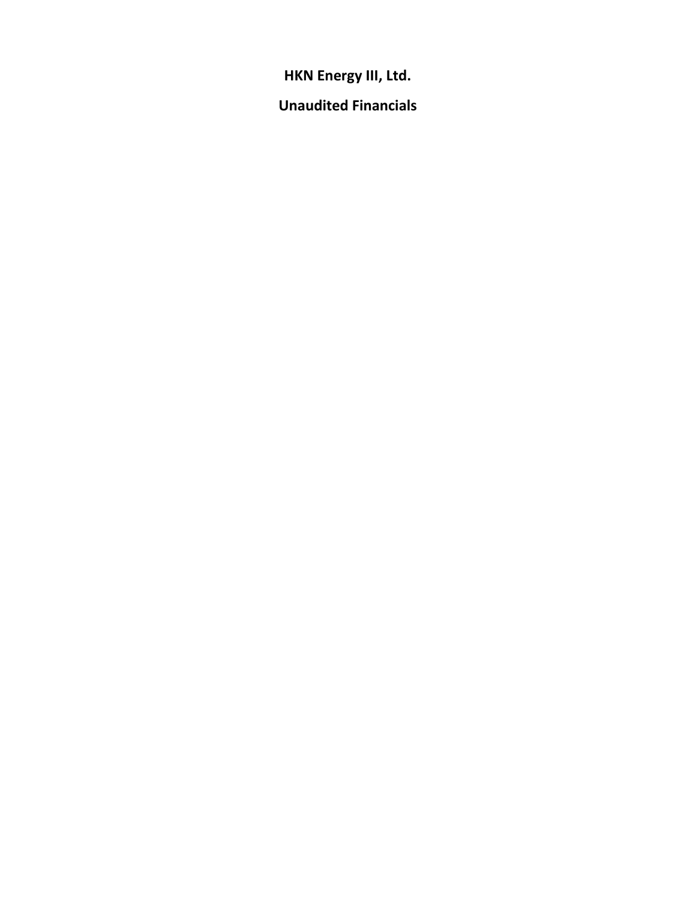**HKN Energy III, Ltd.** 

**Unaudited Financials**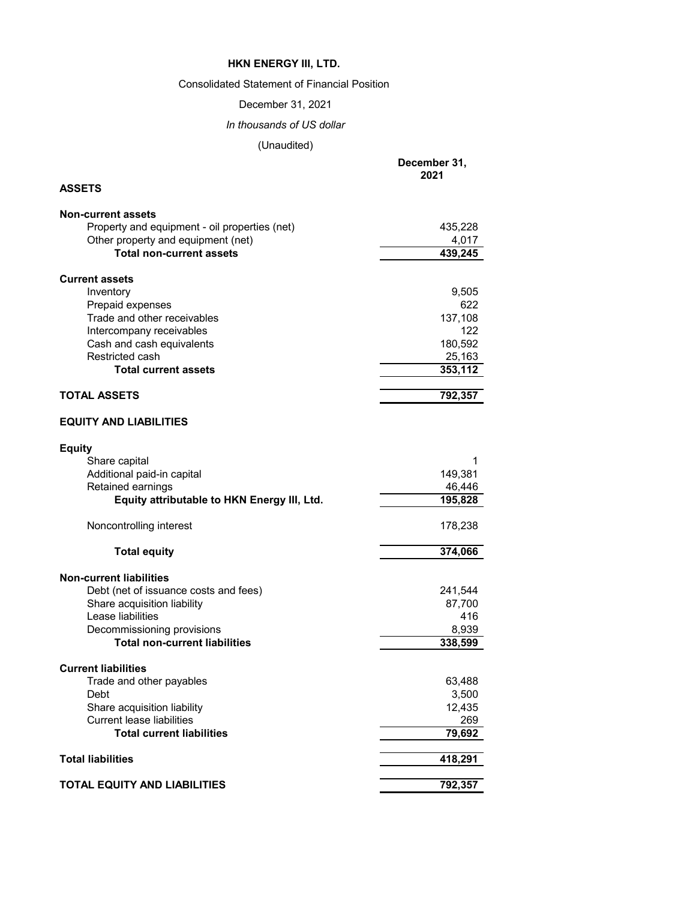# Consolidated Statement of Financial Position

December 31, 2021

*In thousands of US dollar*

**December 31,**

|                                                                         | 2021    |
|-------------------------------------------------------------------------|---------|
| <b>ASSETS</b>                                                           |         |
| <b>Non-current assets</b>                                               |         |
| Property and equipment - oil properties (net)                           | 435,228 |
| Other property and equipment (net)                                      | 4,017   |
| <b>Total non-current assets</b>                                         | 439,245 |
|                                                                         |         |
| <b>Current assets</b>                                                   | 9,505   |
| Inventory<br>Prepaid expenses                                           | 622     |
| Trade and other receivables                                             | 137,108 |
| Intercompany receivables                                                | 122     |
| Cash and cash equivalents                                               | 180,592 |
| Restricted cash                                                         | 25,163  |
| <b>Total current assets</b>                                             | 353,112 |
|                                                                         |         |
| <b>TOTAL ASSETS</b>                                                     | 792,357 |
| <b>EQUITY AND LIABILITIES</b>                                           |         |
|                                                                         |         |
| <b>Equity</b><br>Share capital                                          | 1       |
| Additional paid-in capital                                              | 149,381 |
| Retained earnings                                                       | 46,446  |
| Equity attributable to HKN Energy III, Ltd.                             | 195,828 |
|                                                                         |         |
| Noncontrolling interest                                                 | 178,238 |
| <b>Total equity</b>                                                     | 374,066 |
|                                                                         |         |
| <b>Non-current liabilities</b><br>Debt (net of issuance costs and fees) | 241,544 |
| Share acquisition liability                                             | 87,700  |
| Lease liabilities                                                       | 416     |
| Decommissioning provisions                                              | 8,939   |
| <b>Total non-current liabilities</b>                                    | 338,599 |
|                                                                         |         |
| <b>Current liabilities</b>                                              |         |
| Trade and other payables                                                | 63,488  |
| Debt                                                                    | 3,500   |
| Share acquisition liability                                             | 12,435  |
| <b>Current lease liabilities</b>                                        | 269     |
| <b>Total current liabilities</b>                                        | 79,692  |
| <b>Total liabilities</b>                                                | 418,291 |
|                                                                         |         |
| <b>TOTAL EQUITY AND LIABILITIES</b>                                     | 792,357 |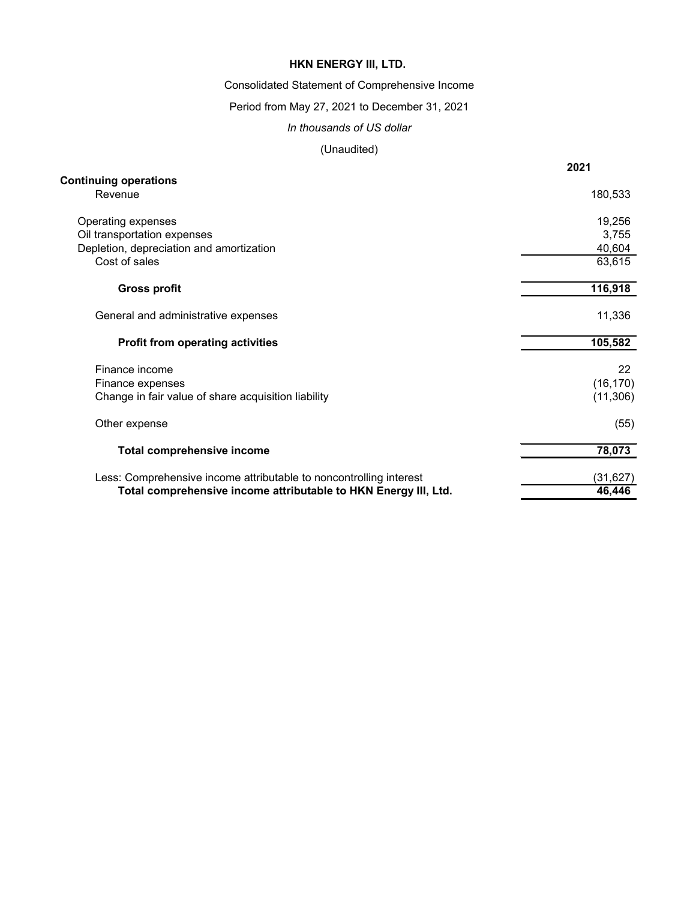Consolidated Statement of Comprehensive Income

# Period from May 27, 2021 to December 31, 2021

#### *In thousands of US dollar*

|                                                                    | 2021              |
|--------------------------------------------------------------------|-------------------|
| <b>Continuing operations</b>                                       |                   |
| Revenue                                                            | 180,533           |
| Operating expenses                                                 | 19,256            |
| Oil transportation expenses                                        | 3,755             |
| Depletion, depreciation and amortization                           | 40,604            |
| Cost of sales                                                      | 63,615            |
| <b>Gross profit</b>                                                | 116,918           |
|                                                                    |                   |
| General and administrative expenses                                | 11,336            |
| <b>Profit from operating activities</b>                            | 105,582           |
| Finance income                                                     | $22 \overline{ }$ |
| Finance expenses                                                   | (16, 170)         |
| Change in fair value of share acquisition liability                | (11, 306)         |
| Other expense                                                      | (55)              |
| <b>Total comprehensive income</b>                                  | 78,073            |
| Less: Comprehensive income attributable to noncontrolling interest | (31, 627)         |
| Total comprehensive income attributable to HKN Energy III, Ltd.    | 46,446            |
|                                                                    |                   |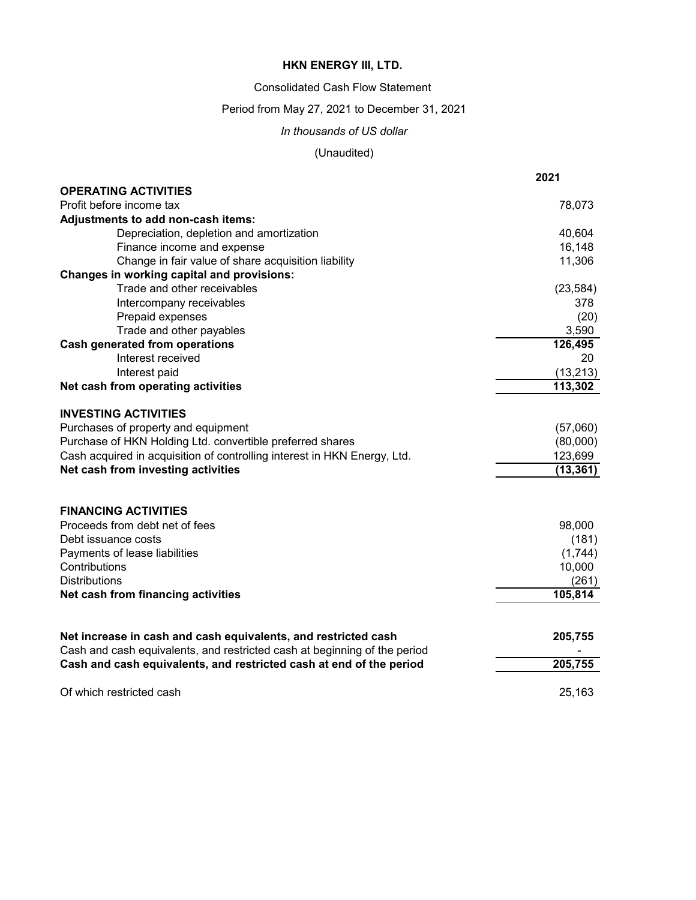Consolidated Cash Flow Statement

Period from May 27, 2021 to December 31, 2021

*In thousands of US dollar*

|                                                                           | 2021      |
|---------------------------------------------------------------------------|-----------|
| <b>OPERATING ACTIVITIES</b>                                               |           |
| Profit before income tax                                                  | 78,073    |
| Adjustments to add non-cash items:                                        |           |
| Depreciation, depletion and amortization                                  | 40,604    |
| Finance income and expense                                                | 16,148    |
| Change in fair value of share acquisition liability                       | 11,306    |
| <b>Changes in working capital and provisions:</b>                         |           |
| Trade and other receivables                                               | (23, 584) |
| Intercompany receivables                                                  | 378       |
| Prepaid expenses                                                          | (20)      |
| Trade and other payables                                                  | 3,590     |
| <b>Cash generated from operations</b>                                     | 126,495   |
| Interest received                                                         | 20        |
| Interest paid                                                             | (13, 213) |
| Net cash from operating activities                                        | 113,302   |
| <b>INVESTING ACTIVITIES</b>                                               |           |
| Purchases of property and equipment                                       | (57,060)  |
| Purchase of HKN Holding Ltd. convertible preferred shares                 | (80,000)  |
| Cash acquired in acquisition of controlling interest in HKN Energy, Ltd.  | 123,699   |
| Net cash from investing activities                                        | (13, 361) |
|                                                                           |           |
| <b>FINANCING ACTIVITIES</b>                                               |           |
| Proceeds from debt net of fees                                            | 98,000    |
| Debt issuance costs                                                       | (181)     |
| Payments of lease liabilities                                             | (1,744)   |
| Contributions                                                             | 10,000    |
| <b>Distributions</b>                                                      | (261)     |
| Net cash from financing activities                                        | 105,814   |
|                                                                           |           |
| Net increase in cash and cash equivalents, and restricted cash            | 205,755   |
| Cash and cash equivalents, and restricted cash at beginning of the period |           |
| Cash and cash equivalents, and restricted cash at end of the period       | 205,755   |
| Of which restricted cash                                                  | 25,163    |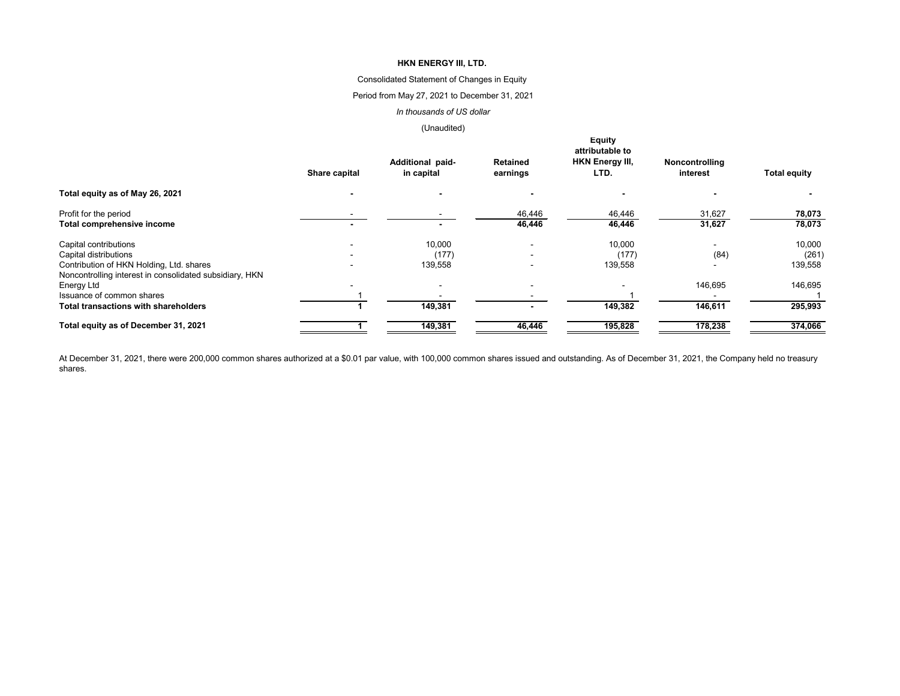### Consolidated Statement of Changes in Equity

### Period from May 27, 2021 to December 31, 2021

#### *In thousands of US dollar*

### (Unaudited)

|                                                                                                     | <b>Equity</b><br>attributable to |                                |                             |                                |                            |                     |  |
|-----------------------------------------------------------------------------------------------------|----------------------------------|--------------------------------|-----------------------------|--------------------------------|----------------------------|---------------------|--|
|                                                                                                     | <b>Share capital</b>             | Additional paid-<br>in capital | <b>Retained</b><br>earnings | <b>HKN Energy III,</b><br>LTD. | Noncontrolling<br>interest | <b>Total equity</b> |  |
| Total equity as of May 26, 2021                                                                     |                                  |                                |                             |                                |                            |                     |  |
| Profit for the period                                                                               |                                  |                                | 46,446                      | 46,446                         | 31,627                     | 78,073              |  |
| <b>Total comprehensive income</b>                                                                   |                                  |                                | 46,446                      | 46,446                         | 31,627                     | 78,073              |  |
| Capital contributions                                                                               |                                  | 10,000                         |                             | 10,000                         |                            | 10,000              |  |
| Capital distributions                                                                               |                                  | (177)                          |                             | (177)                          | (84)                       | (261)               |  |
| Contribution of HKN Holding, Ltd. shares<br>Noncontrolling interest in consolidated subsidiary, HKN |                                  | 139,558                        |                             | 139,558                        |                            | 139,558             |  |
| Energy Ltd                                                                                          |                                  |                                |                             |                                | 146,695                    | 146,695             |  |
| Issuance of common shares                                                                           |                                  |                                |                             |                                |                            |                     |  |
| <b>Total transactions with shareholders</b>                                                         |                                  | 149,381                        |                             | 149,382                        | 146,611                    | 295,993             |  |
| Total equity as of December 31, 2021                                                                |                                  | 149,381                        | 46,446                      | 195,828                        | 178,238                    | 374,066             |  |

At December 31, 2021, there were 200,000 common shares authorized at a \$0.01 par value, with 100,000 common shares issued and outstanding. As of December 31, 2021, the Company held no treasury shares.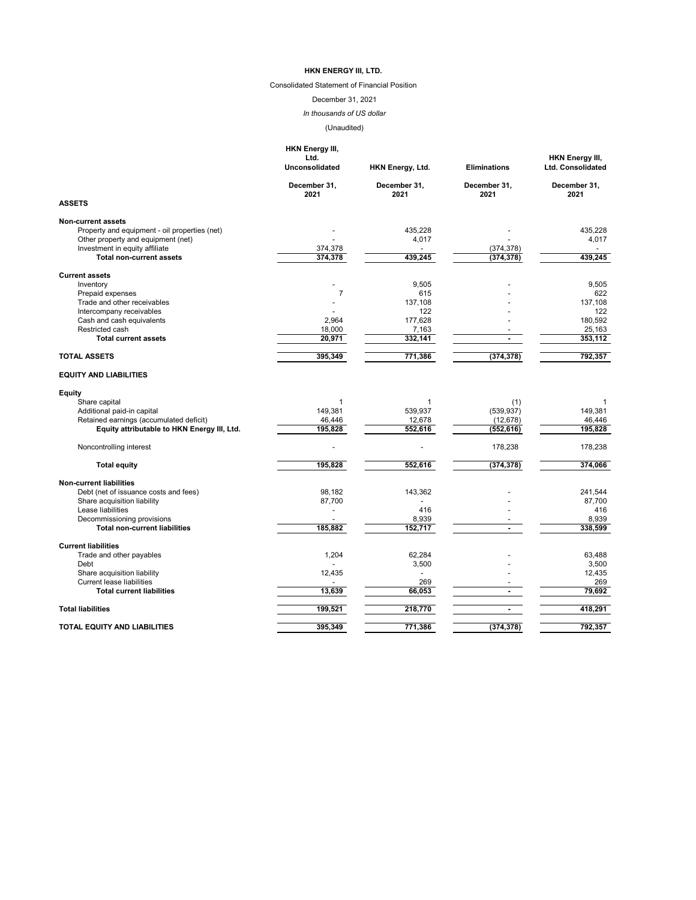# Consolidated Statement of Financial Position

# December 31, 2021

*In thousands of US dollar*

|                                               | <b>HKN Energy III,</b><br>Ltd.<br><b>Unconsolidated</b> | HKN Energy, Ltd.     | <b>Eliminations</b>  | <b>HKN Energy III,</b><br><b>Ltd. Consolidated</b> |
|-----------------------------------------------|---------------------------------------------------------|----------------------|----------------------|----------------------------------------------------|
|                                               | December 31,<br>2021                                    | December 31,<br>2021 | December 31,<br>2021 | December 31,<br>2021                               |
| <b>ASSETS</b>                                 |                                                         |                      |                      |                                                    |
| <b>Non-current assets</b>                     |                                                         |                      |                      |                                                    |
| Property and equipment - oil properties (net) |                                                         | 435,228              |                      | 435,228                                            |
| Other property and equipment (net)            |                                                         | 4,017                |                      | 4,017                                              |
| Investment in equity affiliate                | 374,378                                                 |                      | (374, 378)           |                                                    |
| <b>Total non-current assets</b>               | 374,378                                                 | 439,245              | (374, 378)           | 439,245                                            |
| <b>Current assets</b>                         |                                                         |                      |                      |                                                    |
| Inventory                                     |                                                         | 9,505                |                      | 9,505                                              |
| Prepaid expenses                              | $\overline{7}$                                          | 615                  |                      | 622                                                |
| Trade and other receivables                   |                                                         | 137,108              |                      | 137,108                                            |
| Intercompany receivables                      |                                                         | 122                  |                      | 122                                                |
| Cash and cash equivalents                     | 2,964                                                   | 177,628              |                      | 180,592                                            |
| Restricted cash                               | 18,000                                                  | 7,163                |                      | 25,163                                             |
| <b>Total current assets</b>                   | 20,971                                                  | 332,141              |                      | 353,112                                            |
| <b>TOTAL ASSETS</b>                           | 395,349                                                 | 771,386              | (374, 378)           | 792,357                                            |
| <b>EQUITY AND LIABILITIES</b>                 |                                                         |                      |                      |                                                    |
| <b>Equity</b>                                 |                                                         |                      |                      |                                                    |
| Share capital                                 |                                                         |                      | (1)                  |                                                    |
| Additional paid-in capital                    | 149,381                                                 | 539,937              | (539, 937)           | 149,381                                            |
| Retained earnings (accumulated deficit)       | 46,446                                                  | 12,678               | (12, 678)            | 46,446                                             |
| Equity attributable to HKN Energy III, Ltd.   | 195,828                                                 | 552,616              | (552, 616)           | 195,828                                            |
| Noncontrolling interest                       |                                                         |                      | 178,238              | 178,238                                            |
| <b>Total equity</b>                           | 195,828                                                 | 552,616              | (374, 378)           | 374,066                                            |
| <b>Non-current liabilities</b>                |                                                         |                      |                      |                                                    |
| Debt (net of issuance costs and fees)         | 98,182                                                  | 143,362              |                      | 241,544                                            |
| Share acquisition liability                   | 87,700                                                  |                      |                      | 87,700                                             |
| Lease liabilities                             |                                                         | 416                  |                      | 416                                                |
| Decommissioning provisions                    |                                                         | 8,939                |                      | 8,939                                              |
| <b>Total non-current liabilities</b>          | 185,882                                                 | 152,717              |                      | 338,599                                            |
| <b>Current liabilities</b>                    |                                                         |                      |                      |                                                    |
| Trade and other payables                      | 1,204                                                   | 62,284               |                      | 63,488                                             |
| Debt                                          |                                                         | 3,500                |                      | 3,500                                              |
| Share acquisition liability                   | 12,435                                                  |                      |                      | 12,435                                             |
| <b>Current lease liabilities</b>              |                                                         | 269                  |                      | 269                                                |
| <b>Total current liabilities</b>              | 13,639                                                  | 66,053               |                      | 79,692                                             |
| <b>Total liabilities</b>                      | 199,521                                                 | 218,770              |                      | 418,291                                            |
|                                               |                                                         |                      |                      |                                                    |
| <b>TOTAL EQUITY AND LIABILITIES</b>           | 395,349                                                 | 771,386              | (374, 378)           | 792,357                                            |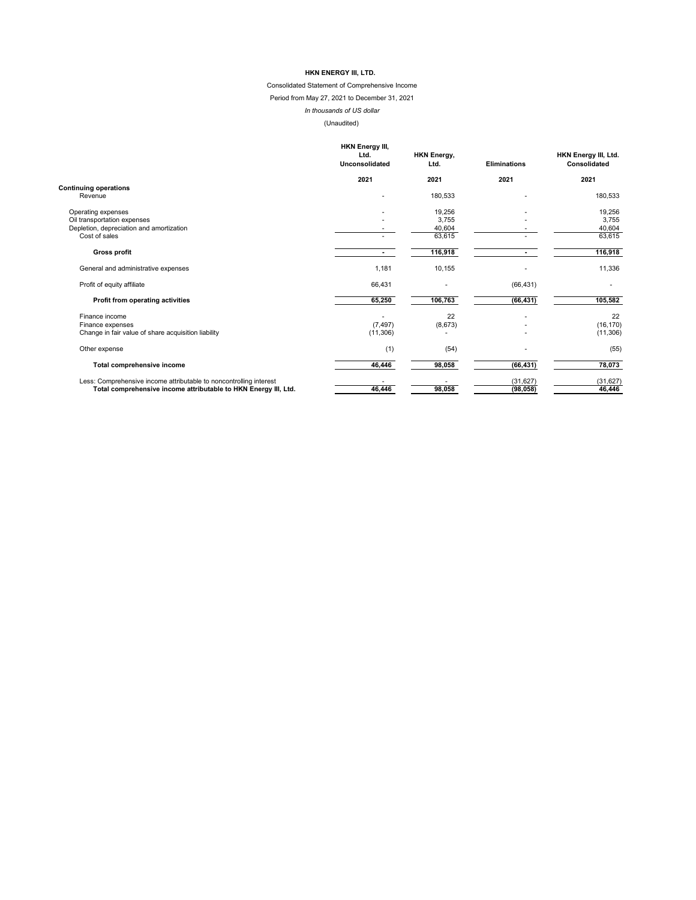# Consolidated Statement of Comprehensive Income

# Period from May 27, 2021 to December 31, 2021

# *In thousands of US dollar*

|                                                                    | <b>HKN Energy III,</b><br>Ltd.<br>Unconsolidated | <b>HKN Energy,</b><br>Ltd. | <b>Eliminations</b> | HKN Energy III, Ltd.<br><b>Consolidated</b> |
|--------------------------------------------------------------------|--------------------------------------------------|----------------------------|---------------------|---------------------------------------------|
|                                                                    | 2021                                             | 2021                       | 2021                | 2021                                        |
| <b>Continuing operations</b>                                       |                                                  |                            |                     |                                             |
| Revenue                                                            |                                                  | 180,533                    |                     | 180,533                                     |
| Operating expenses                                                 |                                                  | 19,256                     |                     | 19,256                                      |
| Oil transportation expenses                                        |                                                  | 3,755                      |                     | 3,755                                       |
| Depletion, depreciation and amortization                           |                                                  | 40,604                     |                     | 40,604                                      |
| Cost of sales                                                      |                                                  | 63,615                     |                     | 63,615                                      |
| <b>Gross profit</b>                                                |                                                  | 116,918                    | $\sim$              | 116,918                                     |
| General and administrative expenses                                | 1,181                                            | 10,155                     |                     | 11,336                                      |
| Profit of equity affiliate                                         | 66,431                                           |                            | (66, 431)           |                                             |
| <b>Profit from operating activities</b>                            | 65,250                                           | 106,763                    | (66, 431)           | 105,582                                     |
| Finance income                                                     |                                                  | 22                         |                     | 22                                          |
| Finance expenses                                                   | (7, 497)                                         | (8,673)                    |                     | (16, 170)                                   |
| Change in fair value of share acquisition liability                | (11,306)                                         |                            |                     | (11, 306)                                   |
| Other expense                                                      | (1)                                              | (54)                       |                     | (55)                                        |
| <b>Total comprehensive income</b>                                  | 46,446                                           | 98,058                     | (66, 431)           | 78,073                                      |
| Less: Comprehensive income attributable to noncontrolling interest |                                                  |                            | (31, 627)           | (31, 627)                                   |
| Total comprehensive income attributable to HKN Energy III, Ltd.    | 46,446                                           | 98,058                     | (98, 058)           | 46,446                                      |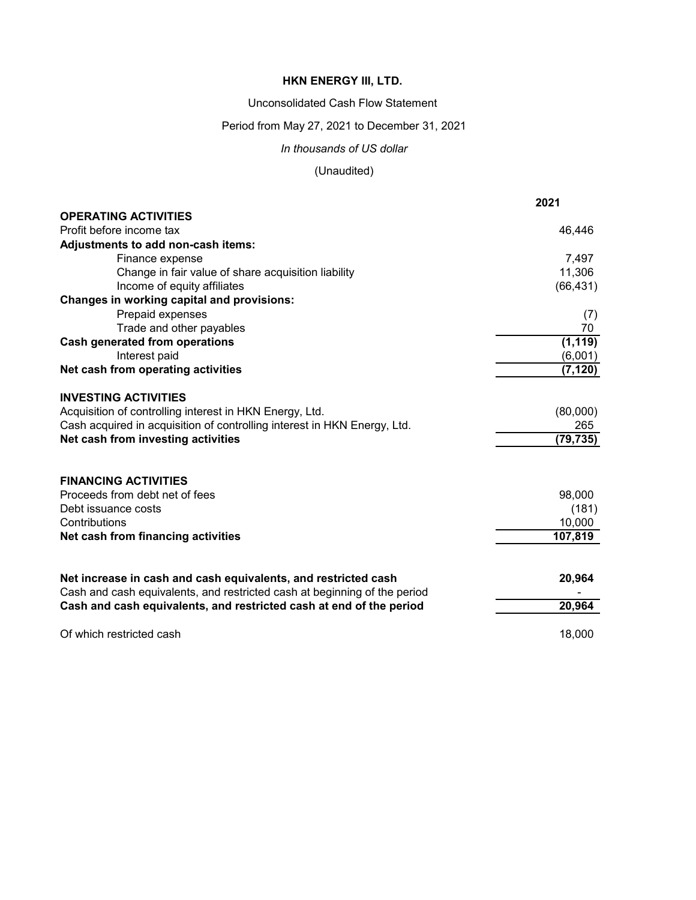Unconsolidated Cash Flow Statement

Period from May 27, 2021 to December 31, 2021

*In thousands of US dollar*

|                                                                           | 2021      |
|---------------------------------------------------------------------------|-----------|
| <b>OPERATING ACTIVITIES</b>                                               |           |
| Profit before income tax                                                  | 46,446    |
| Adjustments to add non-cash items:                                        |           |
| Finance expense                                                           | 7,497     |
| Change in fair value of share acquisition liability                       | 11,306    |
| Income of equity affiliates                                               | (66, 431) |
| <b>Changes in working capital and provisions:</b>                         |           |
| Prepaid expenses                                                          | (7)       |
| Trade and other payables                                                  | 70        |
| <b>Cash generated from operations</b>                                     | (1, 119)  |
| Interest paid                                                             | (6,001)   |
| Net cash from operating activities                                        | (7, 120)  |
| <b>INVESTING ACTIVITIES</b>                                               |           |
| Acquisition of controlling interest in HKN Energy, Ltd.                   | (80,000)  |
| Cash acquired in acquisition of controlling interest in HKN Energy, Ltd.  | 265       |
| Net cash from investing activities                                        | (79, 735) |
|                                                                           |           |
| <b>FINANCING ACTIVITIES</b>                                               |           |
| Proceeds from debt net of fees                                            | 98,000    |
| Debt issuance costs                                                       | (181)     |
| Contributions                                                             | 10,000    |
| Net cash from financing activities                                        | 107,819   |
| Net increase in cash and cash equivalents, and restricted cash            | 20,964    |
| Cash and cash equivalents, and restricted cash at beginning of the period |           |
| Cash and cash equivalents, and restricted cash at end of the period       | 20,964    |
| Of which restricted cash                                                  | 18,000    |